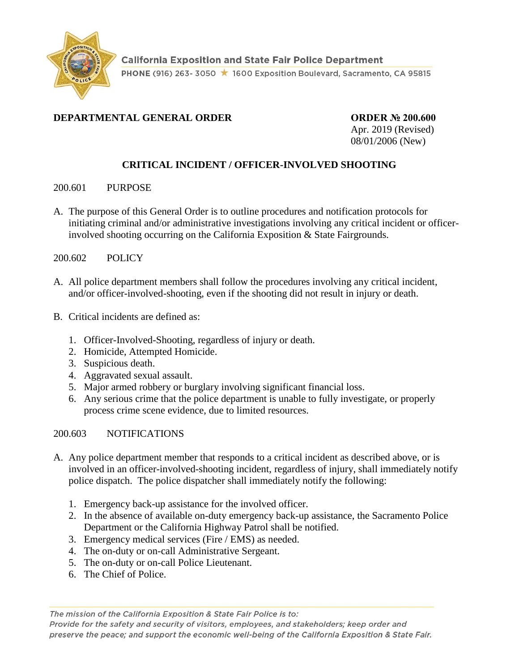

# **DEPARTMENTAL GENERAL ORDER ORDER № 200.600**

Apr. 2019 (Revised) 08/01/2006 (New)

# **CRITICAL INCIDENT / OFFICER-INVOLVED SHOOTING**

### 200.601 PURPOSE

- A. The purpose of this General Order is to outline procedures and notification protocols for initiating criminal and/or administrative investigations involving any critical incident or officerinvolved shooting occurring on the California Exposition & State Fairgrounds.
- 200.602 POLICY
- A. All police department members shall follow the procedures involving any critical incident, and/or officer-involved-shooting, even if the shooting did not result in injury or death.
- B. Critical incidents are defined as:
	- 1. Officer-Involved-Shooting, regardless of injury or death.
	- 2. Homicide, Attempted Homicide.
	- 3. Suspicious death.
	- 4. Aggravated sexual assault.
	- 5. Major armed robbery or burglary involving significant financial loss.
	- 6. Any serious crime that the police department is unable to fully investigate, or properly process crime scene evidence, due to limited resources.

#### 200.603 NOTIFICATIONS

- A. Any police department member that responds to a critical incident as described above, or is involved in an officer-involved-shooting incident, regardless of injury, shall immediately notify police dispatch. The police dispatcher shall immediately notify the following:
	- 1. Emergency back-up assistance for the involved officer.
	- 2. In the absence of available on-duty emergency back-up assistance, the Sacramento Police Department or the California Highway Patrol shall be notified.
	- 3. Emergency medical services (Fire / EMS) as needed.
	- 4. The on-duty or on-call Administrative Sergeant.
	- 5. The on-duty or on-call Police Lieutenant.
	- 6. The Chief of Police.

The mission of the California Exposition & State Fair Police is to:

Provide for the safety and security of visitors, employees, and stakeholders; keep order and preserve the peace; and support the economic well-being of the California Exposition & State Fair.